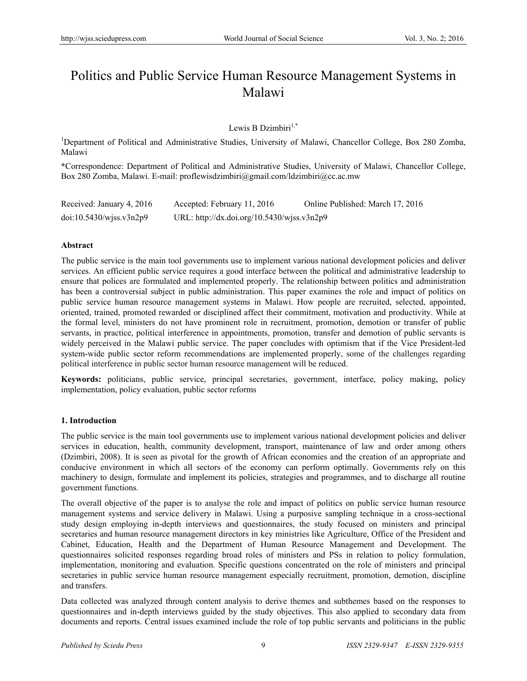# Politics and Public Service Human Resource Management Systems in Malawi

# Lewis B Dzimbiri $1,*$

<sup>1</sup>Department of Political and Administrative Studies, University of Malawi, Chancellor College, Box 280 Zomba, Malawi

**\***Correspondence: Department of Political and Administrative Studies, University of Malawi, Chancellor College, Box 280 Zomba, Malawi. E-mail: proflewisdzimbiri@gmail.com/ldzimbiri@cc.ac.mw

| Received: January 4, 2016     | Accepted: February 11, 2016                | Online Published: March 17, 2016 |
|-------------------------------|--------------------------------------------|----------------------------------|
| $doi:10.5430/w$ iss. $v3n2p9$ | URL: http://dx.doi.org/10.5430/wjss.v3n2p9 |                                  |

# **Abstract**

The public service is the main tool governments use to implement various national development policies and deliver services. An efficient public service requires a good interface between the political and administrative leadership to ensure that polices are formulated and implemented properly. The relationship between politics and administration has been a controversial subject in public administration. This paper examines the role and impact of politics on public service human resource management systems in Malawi. How people are recruited, selected, appointed, oriented, trained, promoted rewarded or disciplined affect their commitment, motivation and productivity. While at the formal level, ministers do not have prominent role in recruitment, promotion, demotion or transfer of public servants, in practice, political interference in appointments, promotion, transfer and demotion of public servants is widely perceived in the Malawi public service. The paper concludes with optimism that if the Vice President-led system-wide public sector reform recommendations are implemented properly, some of the challenges regarding political interference in public sector human resource management will be reduced.

**Keywords:** politicians, public service, principal secretaries, government, interface, policy making, policy implementation, policy evaluation, public sector reforms

# **1. Introduction**

The public service is the main tool governments use to implement various national development policies and deliver services in education, health, community development, transport, maintenance of law and order among others (Dzimbiri, 2008). It is seen as pivotal for the growth of African economies and the creation of an appropriate and conducive environment in which all sectors of the economy can perform optimally. Governments rely on this machinery to design, formulate and implement its policies, strategies and programmes, and to discharge all routine government functions.

The overall objective of the paper is to analyse the role and impact of politics on public service human resource management systems and service delivery in Malawi. Using a purposive sampling technique in a cross-sectional study design employing in-depth interviews and questionnaires, the study focused on ministers and principal secretaries and human resource management directors in key ministries like Agriculture, Office of the President and Cabinet, Education, Health and the Department of Human Resource Management and Development. The questionnaires solicited responses regarding broad roles of ministers and PSs in relation to policy formulation, implementation, monitoring and evaluation. Specific questions concentrated on the role of ministers and principal secretaries in public service human resource management especially recruitment, promotion, demotion, discipline and transfers.

Data collected was analyzed through content analysis to derive themes and subthemes based on the responses to questionnaires and in-depth interviews guided by the study objectives. This also applied to secondary data from documents and reports. Central issues examined include the role of top public servants and politicians in the public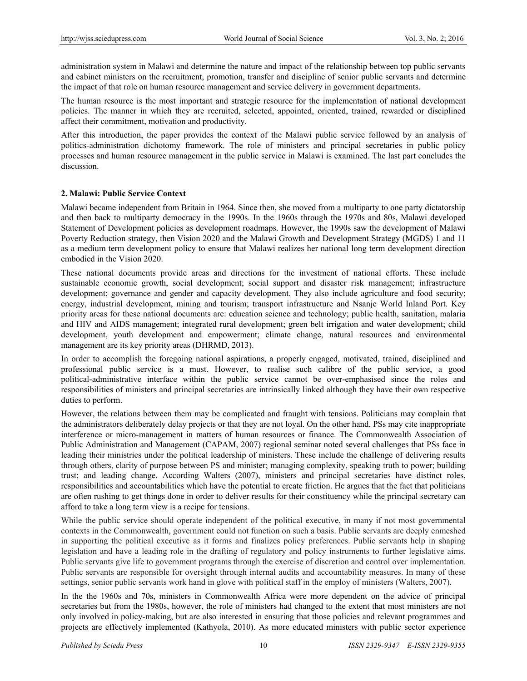administration system in Malawi and determine the nature and impact of the relationship between top public servants and cabinet ministers on the recruitment, promotion, transfer and discipline of senior public servants and determine the impact of that role on human resource management and service delivery in government departments.

The human resource is the most important and strategic resource for the implementation of national development policies. The manner in which they are recruited, selected, appointed, oriented, trained, rewarded or disciplined affect their commitment, motivation and productivity.

After this introduction, the paper provides the context of the Malawi public service followed by an analysis of politics-administration dichotomy framework. The role of ministers and principal secretaries in public policy processes and human resource management in the public service in Malawi is examined. The last part concludes the discussion.

# **2. Malawi: Public Service Context**

Malawi became independent from Britain in 1964. Since then, she moved from a multiparty to one party dictatorship and then back to multiparty democracy in the 1990s. In the 1960s through the 1970s and 80s, Malawi developed Statement of Development policies as development roadmaps. However, the 1990s saw the development of Malawi Poverty Reduction strategy, then Vision 2020 and the Malawi Growth and Development Strategy (MGDS) 1 and 11 as a medium term development policy to ensure that Malawi realizes her national long term development direction embodied in the Vision 2020.

These national documents provide areas and directions for the investment of national efforts. These include sustainable economic growth, social development; social support and disaster risk management; infrastructure development; governance and gender and capacity development. They also include agriculture and food security; energy, industrial development, mining and tourism; transport infrastructure and Nsanje World Inland Port. Key priority areas for these national documents are: education science and technology; public health, sanitation, malaria and HIV and AIDS management; integrated rural development; green belt irrigation and water development; child development, youth development and empowerment; climate change, natural resources and environmental management are its key priority areas (DHRMD, 2013).

In order to accomplish the foregoing national aspirations, a properly engaged, motivated, trained, disciplined and professional public service is a must. However, to realise such calibre of the public service, a good political-administrative interface within the public service cannot be over-emphasised since the roles and responsibilities of ministers and principal secretaries are intrinsically linked although they have their own respective duties to perform.

However, the relations between them may be complicated and fraught with tensions. Politicians may complain that the administrators deliberately delay projects or that they are not loyal. On the other hand, PSs may cite inappropriate interference or micro-management in matters of human resources or finance. The Commonwealth Association of Public Administration and Management (CAPAM, 2007) regional seminar noted several challenges that PSs face in leading their ministries under the political leadership of ministers. These include the challenge of delivering results through others, clarity of purpose between PS and minister; managing complexity, speaking truth to power; building trust; and leading change. According Walters (2007), ministers and principal secretaries have distinct roles, responsibilities and accountabilities which have the potential to create friction. He argues that the fact that politicians are often rushing to get things done in order to deliver results for their constituency while the principal secretary can afford to take a long term view is a recipe for tensions.

While the public service should operate independent of the political executive, in many if not most governmental contexts in the Commonwealth, government could not function on such a basis. Public servants are deeply enmeshed in supporting the political executive as it forms and finalizes policy preferences. Public servants help in shaping legislation and have a leading role in the drafting of regulatory and policy instruments to further legislative aims. Public servants give life to government programs through the exercise of discretion and control over implementation. Public servants are responsible for oversight through internal audits and accountability measures. In many of these settings, senior public servants work hand in glove with political staff in the employ of ministers (Walters, 2007).

In the the 1960s and 70s, ministers in Commonwealth Africa were more dependent on the advice of principal secretaries but from the 1980s, however, the role of ministers had changed to the extent that most ministers are not only involved in policy-making, but are also interested in ensuring that those policies and relevant programmes and projects are effectively implemented (Kathyola, 2010). As more educated ministers with public sector experience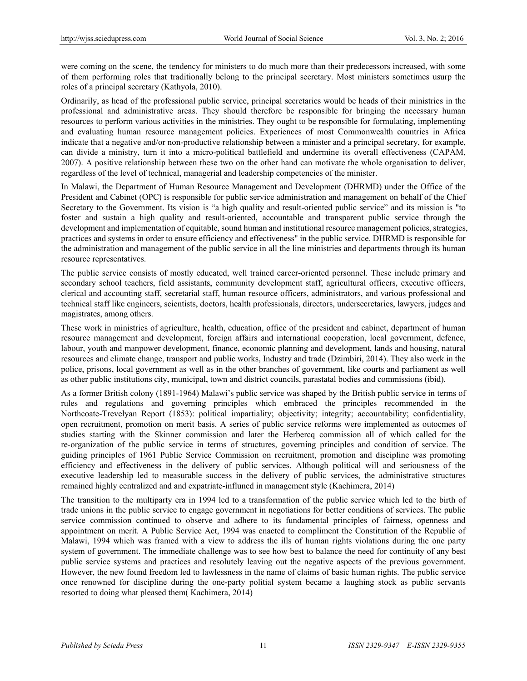were coming on the scene, the tendency for ministers to do much more than their predecessors increased, with some of them performing roles that traditionally belong to the principal secretary. Most ministers sometimes usurp the roles of a principal secretary (Kathyola, 2010).

Ordinarily, as head of the professional public service, principal secretaries would be heads of their ministries in the professional and administrative areas. They should therefore be responsible for bringing the necessary human resources to perform various activities in the ministries. They ought to be responsible for formulating, implementing and evaluating human resource management policies. Experiences of most Commonwealth countries in Africa indicate that a negative and/or non-productive relationship between a minister and a principal secretary, for example, can divide a ministry, turn it into a micro-political battlefield and undermine its overall effectiveness (CAPAM, 2007). A positive relationship between these two on the other hand can motivate the whole organisation to deliver, regardless of the level of technical, managerial and leadership competencies of the minister.

In Malawi, the Department of Human Resource Management and Development (DHRMD) under the Office of the President and Cabinet (OPC) is responsible for public service administration and management on behalf of the Chief Secretary to the Government. Its vision is "a high quality and result-oriented public service" and its mission is "to foster and sustain a high quality and result-oriented, accountable and transparent public service through the development and implementation of equitable, sound human and institutional resource management policies, strategies, practices and systems in order to ensure efficiency and effectiveness" in the public service. DHRMD is responsible for the administration and management of the public service in all the line ministries and departments through its human resource representatives.

The public service consists of mostly educated, well trained career-oriented personnel. These include primary and secondary school teachers, field assistants, community development staff, agricultural officers, executive officers, clerical and accounting staff, secretarial staff, human resource officers, administrators, and various professional and technical staff like engineers, scientists, doctors, health professionals, directors, undersecretaries, lawyers, judges and magistrates, among others.

These work in ministries of agriculture, health, education, office of the president and cabinet, department of human resource management and development, foreign affairs and international cooperation, local government, defence, labour, youth and manpower development, finance, economic planning and development, lands and housing, natural resources and climate change, transport and public works, Industry and trade (Dzimbiri, 2014). They also work in the police, prisons, local government as well as in the other branches of government, like courts and parliament as well as other public institutions city, municipal, town and district councils, parastatal bodies and commissions (ibid).

As a former British colony (1891-1964) Malawi's public service was shaped by the British public service in terms of rules and regulations and governing principles which embraced the principles recommended in the Northcoate-Trevelyan Report (1853): political impartiality; objectivity; integrity; accountability; confidentiality, open recruitment, promotion on merit basis. A series of public service reforms were implemented as outocmes of studies starting with the Skinner commission and later the Herbercq commission all of which called for the re-organization of the public service in terms of structures, governing principles and condition of service. The guiding principles of 1961 Public Service Commission on recruitment, promotion and discipline was promoting efficiency and effectiveness in the delivery of public services. Although political will and seriousness of the executive leadership led to measurable success in the delivery of public services, the administrative structures remained highly centralized and and expatriate-influncd in management style (Kachimera, 2014)

The transition to the multiparty era in 1994 led to a transformation of the public service which led to the birth of trade unions in the public service to engage government in negotiations for better conditions of services. The public service commission continued to observe and adhere to its fundamental principles of fairness, openness and appointment on merit. A Public Service Act, 1994 was enacted to compliment the Constitution of the Republic of Malawi, 1994 which was framed with a view to address the ills of human rights violations during the one party system of government. The immediate challenge was to see how best to balance the need for continuity of any best public service systems and practices and resolutely leaving out the negative aspects of the previous government. However, the new found freedom led to lawlessness in the name of claims of basic human rights. The public service once renowned for discipline during the one-party politial system became a laughing stock as public servants resorted to doing what pleased them( Kachimera, 2014)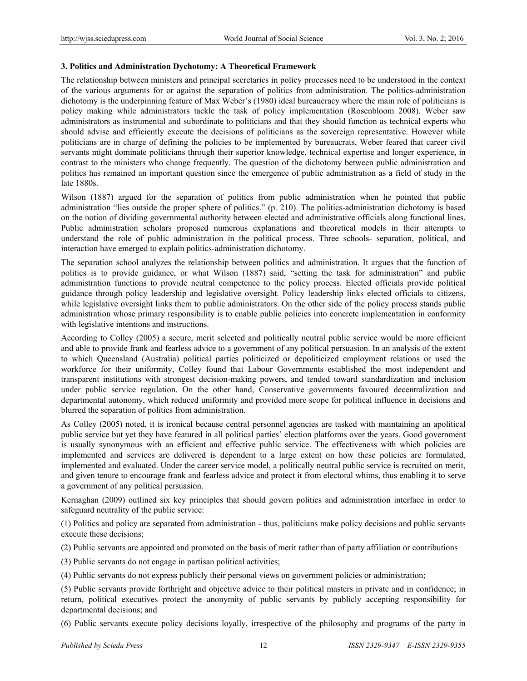#### **3. Politics and Administration Dychotomy: A Theoretical Framework**

The relationship between ministers and principal secretaries in policy processes need to be understood in the context of the various arguments for or against the separation of politics from administration. The politics-administration dichotomy is the underpinning feature of Max Weber's (1980) ideal bureaucracy where the main role of politicians is policy making while administrators tackle the task of policy implementation (Rosenbloom 2008). Weber saw administrators as instrumental and subordinate to politicians and that they should function as technical experts who should advise and efficiently execute the decisions of politicians as the sovereign representative. However while politicians are in charge of defining the policies to be implemented by bureaucrats, Weber feared that career civil servants might dominate politicians through their superior knowledge, technical expertise and longer experience, in contrast to the ministers who change frequently. The question of the dichotomy between public administration and politics has remained an important question since the emergence of public administration as a field of study in the late 1880s.

Wilson (1887) argued for the separation of politics from public administration when he pointed that public administration "lies outside the proper sphere of politics." (p. 210). The politics-administration dichotomy is based on the notion of dividing governmental authority between elected and administrative officials along functional lines. Public administration scholars proposed numerous explanations and theoretical models in their attempts to understand the role of public administration in the political process. Three schools- separation, political, and interaction have emerged to explain politics-administration dichotomy.

The separation school analyzes the relationship between politics and administration. It argues that the function of politics is to provide guidance, or what Wilson (1887) said, "setting the task for administration" and public administration functions to provide neutral competence to the policy process. Elected officials provide political guidance through policy leadership and legislative oversight. Policy leadership links elected officials to citizens, while legislative oversight links them to public administrators. On the other side of the policy process stands public administration whose primary responsibility is to enable public policies into concrete implementation in conformity with legislative intentions and instructions.

According to Colley (2005) a secure, merit selected and politically neutral public service would be more efficient and able to provide frank and fearless advice to a government of any political persuasion. In an analysis of the extent to which Queensland (Australia) political parties politicized or depoliticized employment relations or used the workforce for their uniformity, Colley found that Labour Governments established the most independent and transparent institutions with strongest decision-making powers, and tended toward standardization and inclusion under public service regulation. On the other hand, Conservative governments favoured decentralization and departmental autonomy, which reduced uniformity and provided more scope for political influence in decisions and blurred the separation of politics from administration.

As Colley (2005) noted, it is ironical because central personnel agencies are tasked with maintaining an apolitical public service but yet they have featured in all political parties' election platforms over the years. Good government is usually synonymous with an efficient and effective public service. The effectiveness with which policies are implemented and services are delivered is dependent to a large extent on how these policies are formulated, implemented and evaluated. Under the career service model, a politically neutral public service is recruited on merit, and given tenure to encourage frank and fearless advice and protect it from electoral whims, thus enabling it to serve a government of any political persuasion.

Kernaghan (2009) outlined six key principles that should govern politics and administration interface in order to safeguard neutrality of the public service:

(1) Politics and policy are separated from administration - thus, politicians make policy decisions and public servants execute these decisions;

(2) Public servants are appointed and promoted on the basis of merit rather than of party affiliation or contributions

(3) Public servants do not engage in partisan political activities;

(4) Public servants do not express publicly their personal views on government policies or administration;

(5) Public servants provide forthright and objective advice to their political masters in private and in confidence; in return, political executives protect the anonymity of public servants by publicly accepting responsibility for departmental decisions; and

(6) Public servants execute policy decisions loyally, irrespective of the philosophy and programs of the party in

*Published by Sciedu Press* 12 *ISSN 2329-9347 E-ISSN 2329-9355*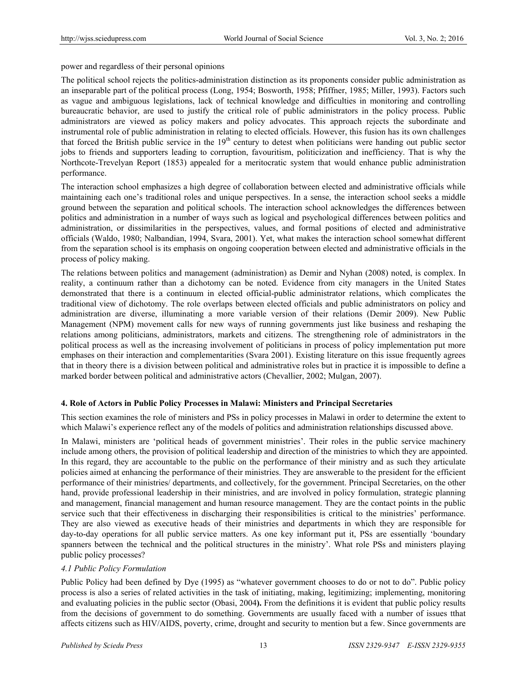power and regardless of their personal opinions

The political school rejects the politics-administration distinction as its proponents consider public administration as an inseparable part of the political process (Long, 1954; Bosworth, 1958; Pfiffner, 1985; Miller, 1993). Factors such as vague and ambiguous legislations, lack of technical knowledge and difficulties in monitoring and controlling bureaucratic behavior, are used to justify the critical role of public administrators in the policy process. Public administrators are viewed as policy makers and policy advocates. This approach rejects the subordinate and instrumental role of public administration in relating to elected officials. However, this fusion has its own challenges that forced the British public service in the 19<sup>th</sup> century to detest when politicians were handing out public sector jobs to friends and supporters leading to corruption, favouritism, politicization and inefficiency. That is why the Northcote-Trevelyan Report (1853) appealed for a meritocratic system that would enhance public administration performance.

The interaction school emphasizes a high degree of collaboration between elected and administrative officials while maintaining each one's traditional roles and unique perspectives. In a sense, the interaction school seeks a middle ground between the separation and political schools. The interaction school acknowledges the differences between politics and administration in a number of ways such as logical and psychological differences between politics and administration, or dissimilarities in the perspectives, values, and formal positions of elected and administrative officials (Waldo, 1980; Nalbandian, 1994, Svara, 2001). Yet, what makes the interaction school somewhat different from the separation school is its emphasis on ongoing cooperation between elected and administrative officials in the process of policy making.

The relations between politics and management (administration) as Demir and Nyhan (2008) noted, is complex. In reality, a continuum rather than a dichotomy can be noted. Evidence from city managers in the United States demonstrated that there is a continuum in elected official-public administrator relations, which complicates the traditional view of dichotomy. The role overlaps between elected officials and public administrators on policy and administration are diverse, illuminating a more variable version of their relations (Demir 2009). New Public Management (NPM) movement calls for new ways of running governments just like business and reshaping the relations among politicians, administrators, markets and citizens. The strengthening role of administrators in the political process as well as the increasing involvement of politicians in process of policy implementation put more emphases on their interaction and complementarities (Svara 2001). Existing literature on this issue frequently agrees that in theory there is a division between political and administrative roles but in practice it is impossible to define a marked border between political and administrative actors (Chevallier, 2002; Mulgan, 2007).

# **4. Role of Actors in Public Policy Processes in Malawi: Ministers and Principal Secretaries**

This section examines the role of ministers and PSs in policy processes in Malawi in order to determine the extent to which Malawi's experience reflect any of the models of politics and administration relationships discussed above.

In Malawi, ministers are 'political heads of government ministries'. Their roles in the public service machinery include among others, the provision of political leadership and direction of the ministries to which they are appointed. In this regard, they are accountable to the public on the performance of their ministry and as such they articulate policies aimed at enhancing the performance of their ministries. They are answerable to the president for the efficient performance of their ministries/ departments, and collectively, for the government. Principal Secretaries, on the other hand, provide professional leadership in their ministries, and are involved in policy formulation, strategic planning and management, financial management and human resource management. They are the contact points in the public service such that their effectiveness in discharging their responsibilities is critical to the ministries' performance. They are also viewed as executive heads of their ministries and departments in which they are responsible for day-to-day operations for all public service matters. As one key informant put it, PSs are essentially 'boundary spanners between the technical and the political structures in the ministry'. What role PSs and ministers playing public policy processes?

# *4.1 Public Policy Formulation*

Public Policy had been defined by Dye (1995) as "whatever government chooses to do or not to do". Public policy process is also a series of related activities in the task of initiating, making, legitimizing; implementing, monitoring and evaluating policies in the public sector (Obasi, 2004**).** From the definitions it is evident that public policy results from the decisions of government to do something. Governments are usually faced with a number of issues tthat affects citizens such as HIV/AIDS, poverty, crime, drought and security to mention but a few. Since governments are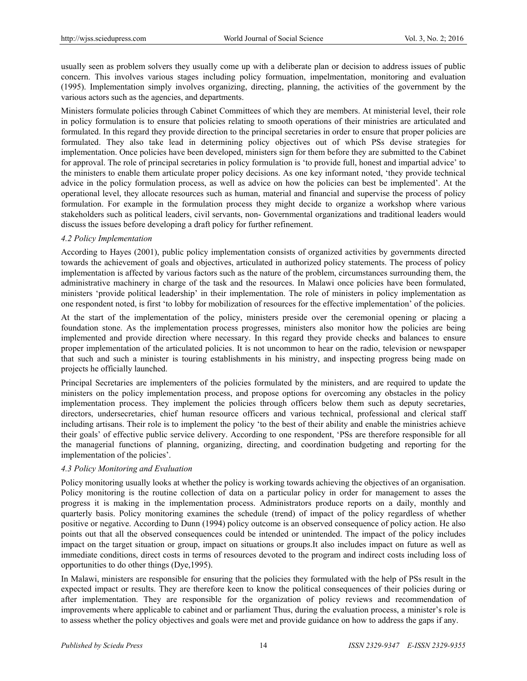usually seen as problem solvers they usually come up with a deliberate plan or decision to address issues of public concern. This involves various stages including policy formuation, impelmentation, monitoring and evaluation (1995). Implementation simply involves organizing, directing, planning, the activities of the government by the various actors such as the agencies, and departments.

Ministers formulate policies through Cabinet Committees of which they are members. At ministerial level, their role in policy formulation is to ensure that policies relating to smooth operations of their ministries are articulated and formulated. In this regard they provide direction to the principal secretaries in order to ensure that proper policies are formulated. They also take lead in determining policy objectives out of which PSs devise strategies for implementation. Once policies have been developed, ministers sign for them before they are submitted to the Cabinet for approval. The role of principal secretaries in policy formulation is 'to provide full, honest and impartial advice' to the ministers to enable them articulate proper policy decisions. As one key informant noted, 'they provide technical advice in the policy formulation process, as well as advice on how the policies can best be implemented'. At the operational level, they allocate resources such as human, material and financial and supervise the process of policy formulation. For example in the formulation process they might decide to organize a workshop where various stakeholders such as political leaders, civil servants, non- Governmental organizations and traditional leaders would discuss the issues before developing a draft policy for further refinement.

#### *4.2 Policy Implementation*

According to Hayes (2001), public policy implementation consists of organized activities by governments directed towards the achievement of goals and objectives, articulated in authorized policy statements. The process of policy implementation is affected by various factors such as the nature of the problem, circumstances surrounding them, the administrative machinery in charge of the task and the resources. In Malawi once policies have been formulated, ministers 'provide political leadership' in their implementation. The role of ministers in policy implementation as one respondent noted, is first 'to lobby for mobilization of resources for the effective implementation' of the policies.

At the start of the implementation of the policy, ministers preside over the ceremonial opening or placing a foundation stone. As the implementation process progresses, ministers also monitor how the policies are being implemented and provide direction where necessary. In this regard they provide checks and balances to ensure proper implementation of the articulated policies. It is not uncommon to hear on the radio, television or newspaper that such and such a minister is touring establishments in his ministry, and inspecting progress being made on projects he officially launched.

Principal Secretaries are implementers of the policies formulated by the ministers, and are required to update the ministers on the policy implementation process, and propose options for overcoming any obstacles in the policy implementation process. They implement the policies through officers below them such as deputy secretaries, directors, undersecretaries, chief human resource officers and various technical, professional and clerical staff including artisans. Their role is to implement the policy 'to the best of their ability and enable the ministries achieve their goals' of effective public service delivery. According to one respondent, 'PSs are therefore responsible for all the managerial functions of planning, organizing, directing, and coordination budgeting and reporting for the implementation of the policies'.

# *4.3 Policy Monitoring and Evaluation*

Policy monitoring usually looks at whether the policy is working towards achieving the objectives of an organisation. Policy monitoring is the routine collection of data on a particular policy in order for management to asses the progress it is making in the implementation process. Administrators produce reports on a daily, monthly and quarterly basis. Policy monitoring examines the schedule (trend) of impact of the policy regardless of whether positive or negative. According to Dunn (1994) policy outcome is an observed consequence of policy action. He also points out that all the observed consequences could be intended or unintended. The impact of the policy includes impact on the target situation or group, impact on situations or groups.It also includes impact on future as well as immediate conditions, direct costs in terms of resources devoted to the program and indirect costs including loss of opportunities to do other things (Dye,1995).

In Malawi, ministers are responsible for ensuring that the policies they formulated with the help of PSs result in the expected impact or results. They are therefore keen to know the political consequences of their policies during or after implementation. They are responsible for the organization of policy reviews and recommendation of improvements where applicable to cabinet and or parliament Thus, during the evaluation process, a minister's role is to assess whether the policy objectives and goals were met and provide guidance on how to address the gaps if any.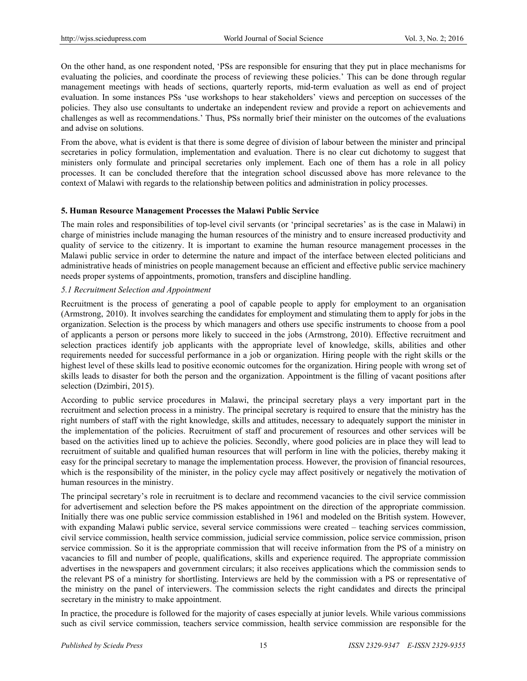On the other hand, as one respondent noted, 'PSs are responsible for ensuring that they put in place mechanisms for evaluating the policies, and coordinate the process of reviewing these policies.' This can be done through regular management meetings with heads of sections, quarterly reports, mid-term evaluation as well as end of project evaluation. In some instances PSs 'use workshops to hear stakeholders' views and perception on successes of the policies. They also use consultants to undertake an independent review and provide a report on achievements and challenges as well as recommendations.' Thus, PSs normally brief their minister on the outcomes of the evaluations and advise on solutions.

From the above, what is evident is that there is some degree of division of labour between the minister and principal secretaries in policy formulation, implementation and evaluation. There is no clear cut dichotomy to suggest that ministers only formulate and principal secretaries only implement. Each one of them has a role in all policy processes. It can be concluded therefore that the integration school discussed above has more relevance to the context of Malawi with regards to the relationship between politics and administration in policy processes.

#### **5. Human Resource Management Processes the Malawi Public Service**

The main roles and responsibilities of top-level civil servants (or 'principal secretaries' as is the case in Malawi) in charge of ministries include managing the human resources of the ministry and to ensure increased productivity and quality of service to the citizenry. It is important to examine the human resource management processes in the Malawi public service in order to determine the nature and impact of the interface between elected politicians and administrative heads of ministries on people management because an efficient and effective public service machinery needs proper systems of appointments, promotion, transfers and discipline handling.

#### *5.1 Recruitment Selection and Appointment*

Recruitment is the process of generating a pool of capable people to apply for employment to an organisation (Armstrong, 2010). It involves searching the candidates for employment and stimulating them to apply for jobs in the organization. Selection is the process by which managers and others use specific instruments to choose from a pool of applicants a person or persons more likely to succeed in the jobs (Armstrong, 2010). Effective recruitment and selection practices identify job applicants with the appropriate level of knowledge, skills, abilities and other requirements needed for successful performance in a job or organization. Hiring people with the right skills or the highest level of these skills lead to positive economic outcomes for the organization. Hiring people with wrong set of skills leads to disaster for both the person and the organization. Appointment is the filling of vacant positions after selection (Dzimbiri, 2015).

According to public service procedures in Malawi, the principal secretary plays a very important part in the recruitment and selection process in a ministry. The principal secretary is required to ensure that the ministry has the right numbers of staff with the right knowledge, skills and attitudes, necessary to adequately support the minister in the implementation of the policies. Recruitment of staff and procurement of resources and other services will be based on the activities lined up to achieve the policies. Secondly, where good policies are in place they will lead to recruitment of suitable and qualified human resources that will perform in line with the policies, thereby making it easy for the principal secretary to manage the implementation process. However, the provision of financial resources, which is the responsibility of the minister, in the policy cycle may affect positively or negatively the motivation of human resources in the ministry.

The principal secretary's role in recruitment is to declare and recommend vacancies to the civil service commission for advertisement and selection before the PS makes appointment on the direction of the appropriate commission. Initially there was one public service commission established in 1961 and modeled on the British system. However, with expanding Malawi public service, several service commissions were created – teaching services commission, civil service commission, health service commission, judicial service commission, police service commission, prison service commission. So it is the appropriate commission that will receive information from the PS of a ministry on vacancies to fill and number of people, qualifications, skills and experience required. The appropriate commission advertises in the newspapers and government circulars; it also receives applications which the commission sends to the relevant PS of a ministry for shortlisting. Interviews are held by the commission with a PS or representative of the ministry on the panel of interviewers. The commission selects the right candidates and directs the principal secretary in the ministry to make appointment.

In practice, the procedure is followed for the majority of cases especially at junior levels. While various commissions such as civil service commission, teachers service commission, health service commission are responsible for the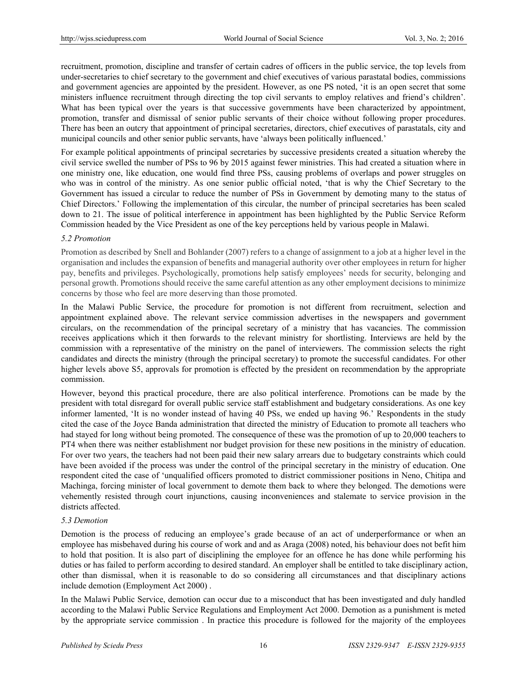recruitment, promotion, discipline and transfer of certain cadres of officers in the public service, the top levels from under-secretaries to chief secretary to the government and chief executives of various parastatal bodies, commissions and government agencies are appointed by the president. However, as one PS noted, 'it is an open secret that some ministers influence recruitment through directing the top civil servants to employ relatives and friend's children'. What has been typical over the years is that successive governments have been characterized by appointment, promotion, transfer and dismissal of senior public servants of their choice without following proper procedures. There has been an outcry that appointment of principal secretaries, directors, chief executives of parastatals, city and municipal councils and other senior public servants, have 'always been politically influenced.'

For example political appointments of principal secretaries by successive presidents created a situation whereby the civil service swelled the number of PSs to 96 by 2015 against fewer ministries. This had created a situation where in one ministry one, like education, one would find three PSs, causing problems of overlaps and power struggles on who was in control of the ministry. As one senior public official noted, 'that is why the Chief Secretary to the Government has issued a circular to reduce the number of PSs in Government by demoting many to the status of Chief Directors.' Following the implementation of this circular, the number of principal secretaries has been scaled down to 21. The issue of political interference in appointment has been highlighted by the Public Service Reform Commission headed by the Vice President as one of the key perceptions held by various people in Malawi.

# *5.2 Promotion*

Promotion as described by Snell and Bohlander (2007) refers to a change of assignment to a job at a higher level in the organisation and includes the expansion of benefits and managerial authority over other employees in return for higher pay, benefits and privileges. Psychologically, promotions help satisfy employees' needs for security, belonging and personal growth. Promotions should receive the same careful attention as any other employment decisions to minimize concerns by those who feel are more deserving than those promoted.

In the Malawi Public Service, the procedure for promotion is not different from recruitment, selection and appointment explained above. The relevant service commission advertises in the newspapers and government circulars, on the recommendation of the principal secretary of a ministry that has vacancies. The commission receives applications which it then forwards to the relevant ministry for shortlisting. Interviews are held by the commission with a representative of the ministry on the panel of interviewers. The commission selects the right candidates and directs the ministry (through the principal secretary) to promote the successful candidates. For other higher levels above S5, approvals for promotion is effected by the president on recommendation by the appropriate commission.

However, beyond this practical procedure, there are also political interference. Promotions can be made by the president with total disregard for overall public service staff establishment and budgetary considerations. As one key informer lamented, 'It is no wonder instead of having 40 PSs, we ended up having 96.' Respondents in the study cited the case of the Joyce Banda administration that directed the ministry of Education to promote all teachers who had stayed for long without being promoted. The consequence of these was the promotion of up to 20,000 teachers to PT4 when there was neither establishment nor budget provision for these new positions in the ministry of education. For over two years, the teachers had not been paid their new salary arrears due to budgetary constraints which could have been avoided if the process was under the control of the principal secretary in the ministry of education. One respondent cited the case of 'unqualified officers promoted to district commissioner positions in Neno, Chitipa and Machinga, forcing minister of local government to demote them back to where they belonged. The demotions were vehemently resisted through court injunctions, causing inconveniences and stalemate to service provision in the districts affected.

# *5.3 Demotion*

Demotion is the process of reducing an employee's grade because of an act of underperformance or when an employee has misbehaved during his course of work and and as Araga (2008) noted, his behaviour does not befit him to hold that position. It is also part of disciplining the employee for an offence he has done while performing his duties or has failed to perform according to desired standard. An employer shall be entitled to take disciplinary action, other than dismissal, when it is reasonable to do so considering all circumstances and that disciplinary actions include demotion (Employment Act 2000) .

In the Malawi Public Service, demotion can occur due to a misconduct that has been investigated and duly handled according to the Malawi Public Service Regulations and Employment Act 2000. Demotion as a punishment is meted by the appropriate service commission . In practice this procedure is followed for the majority of the employees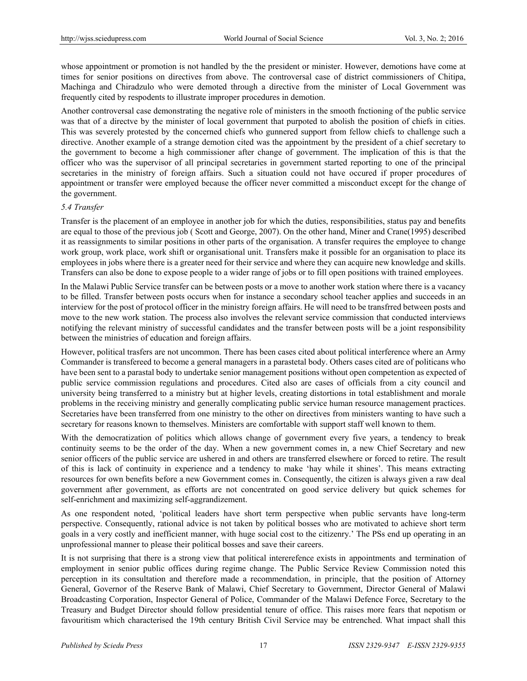whose appointment or promotion is not handled by the the president or minister. However, demotions have come at times for senior positions on directives from above. The controversal case of district commissioners of Chitipa, Machinga and Chiradzulo who were demoted through a directive from the minister of Local Government was frequently cited by respodents to illustrate improper procedures in demotion.

Another controversal case demonstrating the negative role of ministers in the smooth fnctioning of the public service was that of a directve by the minister of local government that purpoted to abolish the position of chiefs in cities. This was severely protested by the concerned chiefs who gunnered support from fellow chiefs to challenge such a directive. Another example of a strange demotion cited was the appointment by the president of a chief secretary to the government to become a high commissioner after change of government. The implication of this is that the officer who was the supervisor of all principal secretaries in government started reporting to one of the principal secretaries in the ministry of foreign affairs. Such a situation could not have occured if proper procedures of appointment or transfer were employed because the officer never committed a misconduct except for the change of the government.

#### *5.4 Transfer*

Transfer is the placement of an employee in another job for which the duties, responsibilities, status pay and benefits are equal to those of the previous job ( Scott and George, 2007). On the other hand, Miner and Crane(1995) described it as reassignments to similar positions in other parts of the organisation. A transfer requires the employee to change work group, work place, work shift or organisational unit. Transfers make it possible for an organisation to place its employees in jobs where there is a greater need for their service and where they can acquire new knowledge and skills. Transfers can also be done to expose people to a wider range of jobs or to fill open positions with trained employees.

In the Malawi Public Service transfer can be between posts or a move to another work station where there is a vacancy to be filled. Transfer between posts occurs when for instance a secondary school teacher applies and succeeds in an interview for the post of protocol officer in the ministry foreign affairs. He will need to be transfrred between posts and move to the new work station. The process also involves the relevant service commission that conducted interviews notifying the relevant ministry of successful candidates and the transfer between posts will be a joint responsibility between the ministries of education and foreign affairs.

However, political trasfers are not uncommon. There has been cases cited about political interference where an Army Commander is transfereed to become a general managers in a parastetal body. Others cases cited are of politicans who have been sent to a parastal body to undertake senior management positions without open competention as expected of public service commission regulations and procedures. Cited also are cases of officials from a city council and university being transferred to a ministry but at higher levels, creating distortions in total establishment and morale problems in the receiving ministry and generally complicating public service human resource management practices. Secretaries have been transferred from one ministry to the other on directives from ministers wanting to have such a secretary for reasons known to themselves. Ministers are comfortable with support staff well known to them.

With the democratization of politics which allows change of government every five years, a tendency to break continuity seems to be the order of the day. When a new government comes in, a new Chief Secretary and new senior officers of the public service are ushered in and others are transferred elsewhere or forced to retire. The result of this is lack of continuity in experience and a tendency to make 'hay while it shines'. This means extracting resources for own benefits before a new Government comes in. Consequently, the citizen is always given a raw deal government after government, as efforts are not concentrated on good service delivery but quick schemes for self-enrichment and maximizing self-aggrandizement.

As one respondent noted, 'political leaders have short term perspective when public servants have long-term perspective. Consequently, rational advice is not taken by political bosses who are motivated to achieve short term goals in a very costly and inefficient manner, with huge social cost to the citizenry.' The PSs end up operating in an unprofessional manner to please their political bosses and save their careers.

It is not surprising that there is a strong view that political intererefence exists in appointments and termination of employment in senior public offices during regime change. The Public Service Review Commission noted this perception in its consultation and therefore made a recommendation, in principle, that the position of Attorney General, Governor of the Reserve Bank of Malawi, Chief Secretary to Government, Director General of Malawi Broadcasting Corporation, Inspector General of Police, Commander of the Malawi Defence Force, Secretary to the Treasury and Budget Director should follow presidential tenure of office. This raises more fears that nepotism or favouritism which characterised the 19th century British Civil Service may be entrenched. What impact shall this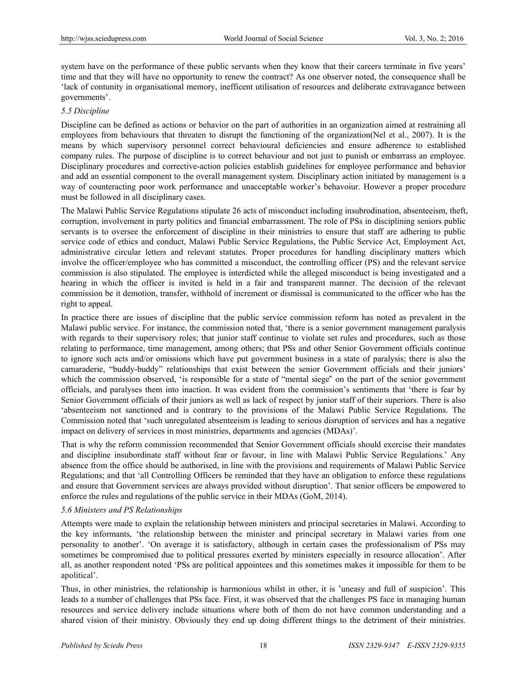system have on the performance of these public servants when they know that their careers terminate in five years' time and that they will have no opportunity to renew the contract? As one observer noted, the consequence shall be 'lack of contunity in organisational memory, inefficent utilisation of resources and deliberate extravagance between governments'.

# *5.5 Discipline*

Discipline can be defined as actions or behavior on the part of authorities in an organization aimed at restraining all employees from behaviours that threaten to disrupt the functioning of the organization(Nel et al., 2007). It is the means by which supervisory personnel correct behavioural deficiencies and ensure adherence to established company rules. The purpose of discipline is to correct behaviour and not just to punish or embarrass an employee. Disciplinary procedures and corrective-action policies establish guidelines for employee performance and behavior and add an essential component to the overall management system. Disciplinary action initiated by management is a way of counteracting poor work performance and unacceptable worker's behavoiur. However a proper procedure must be followed in all disciplinary cases.

The Malawi Public Service Regulations stipulate 26 acts of misconduct including insubrodination, absenteeism, theft, corruption, involvement in party politics and financial embarrassment. The role of PSs in disciplining seniors public servants is to oversee the enforcement of discipline in their ministries to ensure that staff are adhering to public service code of ethics and conduct, Malawi Public Service Regulations, the Public Service Act, Employment Act, administrative circular letters and relevant statutes. Proper procedures for handling disciplinary matters which involve the officer/employee who has committed a misconduct, the controlling officer (PS) and the relevant service commission is also stipulated. The employee is interdicted while the alleged misconduct is being investigated and a hearing in which the officer is invited is held in a fair and transparent manner. The decision of the relevant commission be it demotion, transfer, withhold of increment or dismissal is communicated to the officer who has the right to appeal.

In practice there are issues of discipline that the public service commission reform has noted as prevalent in the Malawi public service. For instance, the commission noted that, 'there is a senior government management paralysis with regards to their supervisory roles; that junior staff continue to violate set rules and procedures, such as those relating to performance, time management, among others; that PSs and other Senior Government officials continue to ignore such acts and/or omissions which have put government business in a state of paralysis; there is also the camaraderie, "buddy-buddy" relationships that exist between the senior Government officials and their juniors' which the commission observed, 'is responsible for a state of "mental siege" on the part of the senior government officials, and paralyses them into inaction. It was evident from the commission's sentiments that 'there is fear by Senior Government officials of their juniors as well as lack of respect by junior staff of their superiors. There is also 'absenteeism not sanctioned and is contrary to the provisions of the Malawi Public Service Regulations. The Commission noted that 'such unregulated absenteeism is leading to serious disruption of services and has a negative impact on delivery of services in most ministries, departments and agencies (MDAs)'.

That is why the reform commission recommended that Senior Government officials should exercise their mandates and discipline insubordinate staff without fear or favour, in line with Malawi Public Service Regulations.' Any absence from the office should be authorised, in line with the provisions and requirements of Malawi Public Service Regulations; and that 'all Controlling Officers be reminded that they have an obligation to enforce these regulations and ensure that Government services are always provided without disruption'. That senior officers be empowered to enforce the rules and regulations of the public service in their MDAs (GoM, 2014).

#### *5.6 Ministers and PS Relationships*

Attempts were made to explain the relationship between ministers and principal secretaries in Malawi. According to the key informants, 'the relationship between the minister and principal secretary in Malawi varies from one personality to another'. 'On average it is satisfactory, although in certain cases the professionalism of PSs may sometimes be compromised due to political pressures exerted by ministers especially in resource allocation'. After all, as another respondent noted 'PSs are political appointees and this sometimes makes it impossible for them to be apolitical'.

Thus, in other ministries, the relationship is harmonious whilst in other, it is 'uneasy and full of suspicion'. This leads to a number of challenges that PSs face. First, it was observed that the challenges PS face in managing human resources and service delivery include situations where both of them do not have common understanding and a shared vision of their ministry. Obviously they end up doing different things to the detriment of their ministries.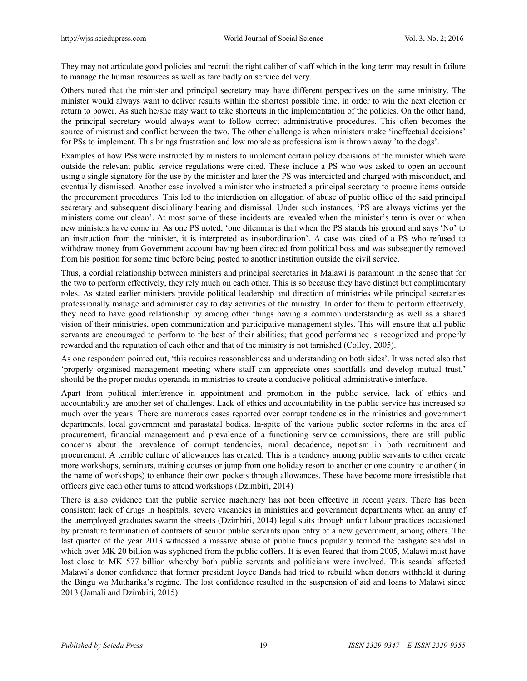They may not articulate good policies and recruit the right caliber of staff which in the long term may result in failure to manage the human resources as well as fare badly on service delivery.

Others noted that the minister and principal secretary may have different perspectives on the same ministry. The minister would always want to deliver results within the shortest possible time, in order to win the next election or return to power. As such he/she may want to take shortcuts in the implementation of the policies. On the other hand, the principal secretary would always want to follow correct administrative procedures. This often becomes the source of mistrust and conflict between the two. The other challenge is when ministers make 'ineffectual decisions' for PSs to implement. This brings frustration and low morale as professionalism is thrown away 'to the dogs'.

Examples of how PSs were instructed by ministers to implement certain policy decisions of the minister which were outside the relevant public service regulations were cited. These include a PS who was asked to open an account using a single signatory for the use by the minister and later the PS was interdicted and charged with misconduct, and eventually dismissed. Another case involved a minister who instructed a principal secretary to procure items outside the procurement procedures. This led to the interdiction on allegation of abuse of public office of the said principal secretary and subsequent disciplinary hearing and dismissal. Under such instances, 'PS are always victims yet the ministers come out clean'. At most some of these incidents are revealed when the minister's term is over or when new ministers have come in. As one PS noted, 'one dilemma is that when the PS stands his ground and says 'No' to an instruction from the minister, it is interpreted as insubordination'. A case was cited of a PS who refused to withdraw money from Government account having been directed from political boss and was subsequently removed from his position for some time before being posted to another institution outside the civil service.

Thus, a cordial relationship between ministers and principal secretaries in Malawi is paramount in the sense that for the two to perform effectively, they rely much on each other. This is so because they have distinct but complimentary roles. As stated earlier ministers provide political leadership and direction of ministries while principal secretaries professionally manage and administer day to day activities of the ministry. In order for them to perform effectively, they need to have good relationship by among other things having a common understanding as well as a shared vision of their ministries, open communication and participative management styles. This will ensure that all public servants are encouraged to perform to the best of their abilities; that good performance is recognized and properly rewarded and the reputation of each other and that of the ministry is not tarnished (Colley, 2005).

As one respondent pointed out, 'this requires reasonableness and understanding on both sides'. It was noted also that 'properly organised management meeting where staff can appreciate ones shortfalls and develop mutual trust,' should be the proper modus operanda in ministries to create a conducive political-administrative interface.

Apart from political interference in appointment and promotion in the public service, lack of ethics and accountability are another set of challenges. Lack of ethics and accountability in the public service has increased so much over the years. There are numerous cases reported over corrupt tendencies in the ministries and government departments, local government and parastatal bodies. In-spite of the various public sector reforms in the area of procurement, financial management and prevalence of a functioning service commissions, there are still public concerns about the prevalence of corrupt tendencies, moral decadence, nepotism in both recruitment and procurement. A terrible culture of allowances has created. This is a tendency among public servants to either create more workshops, seminars, training courses or jump from one holiday resort to another or one country to another ( in the name of workshops) to enhance their own pockets through allowances. These have become more irresistible that officers give each other turns to attend workshops (Dzimbiri, 2014)

There is also evidence that the public service machinery has not been effective in recent years. There has been consistent lack of drugs in hospitals, severe vacancies in ministries and government departments when an army of the unemployed graduates swarm the streets (Dzimbiri, 2014) legal suits through unfair labour practices occasioned by premature termination of contracts of senior public servants upon entry of a new government, among others. The last quarter of the year 2013 witnessed a massive abuse of public funds popularly termed the cashgate scandal in which over MK 20 billion was syphoned from the public coffers. It is even feared that from 2005, Malawi must have lost close to MK 577 billion whereby both public servants and politicians were involved. This scandal affected Malawi's donor confidence that former president Joyce Banda had tried to rebuild when donors withheld it during the Bingu wa Mutharika's regime. The lost confidence resulted in the suspension of aid and loans to Malawi since 2013 (Jamali and Dzimbiri, 2015).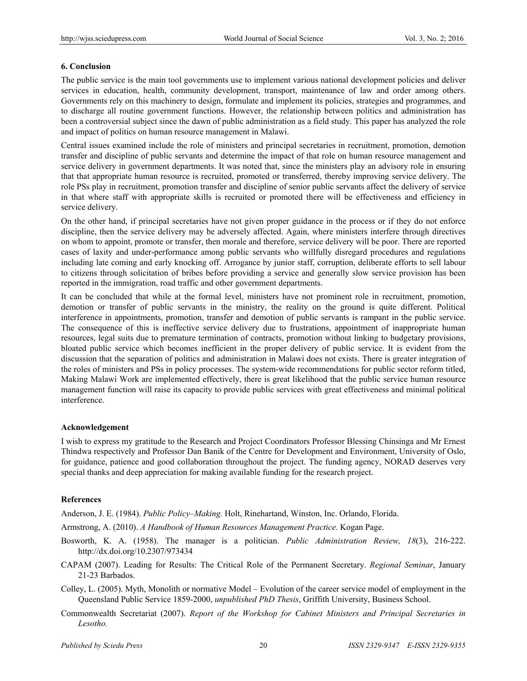#### **6. Conclusion**

The public service is the main tool governments use to implement various national development policies and deliver services in education, health, community development, transport, maintenance of law and order among others. Governments rely on this machinery to design, formulate and implement its policies, strategies and programmes, and to discharge all routine government functions. However, the relationship between politics and administration has been a controversial subject since the dawn of public administration as a field study. This paper has analyzed the role and impact of politics on human resource management in Malawi.

Central issues examined include the role of ministers and principal secretaries in recruitment, promotion, demotion transfer and discipline of public servants and determine the impact of that role on human resource management and service delivery in government departments. It was noted that, since the ministers play an advisory role in ensuring that that appropriate human resource is recruited, promoted or transferred, thereby improving service delivery. The role PSs play in recruitment, promotion transfer and discipline of senior public servants affect the delivery of service in that where staff with appropriate skills is recruited or promoted there will be effectiveness and efficiency in service delivery.

On the other hand, if principal secretaries have not given proper guidance in the process or if they do not enforce discipline, then the service delivery may be adversely affected. Again, where ministers interfere through directives on whom to appoint, promote or transfer, then morale and therefore, service delivery will be poor. There are reported cases of laxity and under-performance among public servants who willfully disregard procedures and regulations including late coming and early knocking off. Arrogance by junior staff, corruption, deliberate efforts to sell labour to citizens through solicitation of bribes before providing a service and generally slow service provision has been reported in the immigration, road traffic and other government departments.

It can be concluded that while at the formal level, ministers have not prominent role in recruitment, promotion, demotion or transfer of public servants in the ministry, the reality on the ground is quite different. Political interference in appointments, promotion, transfer and demotion of public servants is rampant in the public service. The consequence of this is ineffective service delivery due to frustrations, appointment of inappropriate human resources, legal suits due to premature termination of contracts, promotion without linking to budgetary provisions, bloated public service which becomes inefficient in the proper delivery of public service. It is evident from the discussion that the separation of politics and administration in Malawi does not exists. There is greater integration of the roles of ministers and PSs in policy processes. The system-wide recommendations for public sector reform titled, Making Malawi Work are implemented effectively, there is great likelihood that the public service human resource management function will raise its capacity to provide public services with great effectiveness and minimal political interference.

#### **Acknowledgement**

I wish to express my gratitude to the Research and Project Coordinators Professor Blessing Chinsinga and Mr Ernest Thindwa respectively and Professor Dan Banik of the Centre for Development and Environment, University of Oslo, for guidance, patience and good collaboration throughout the project. The funding agency, NORAD deserves very special thanks and deep appreciation for making available funding for the research project.

#### **References**

Anderson, J. E. (1984). *Public Policy–Making.* Holt, Rinehartand, Winston, Inc. Orlando, Florida.

- Armstrong, A. (2010). *A Handbook of Human Resources Management Practice.* Kogan Page.
- Bosworth, K. A. (1958). The manager is a politician. *Public Administration Review, 18*(3), 216-222. http://dx.doi.org/10.2307/973434
- CAPAM (2007). Leading for Results: The Critical Role of the Permanent Secretary. *Regional Seminar*, January 21-23 Barbados.
- Colley, L. (2005). Myth, Monolith or normative Model Evolution of the career service model of employment in the Queensland Public Service 1859-2000, *unpublished PhD Thesis*, Griffith University, Business School.
- Commonwealth Secretariat (2007). *Report of the Workshop for Cabinet Ministers and Principal Secretaries in Lesotho.*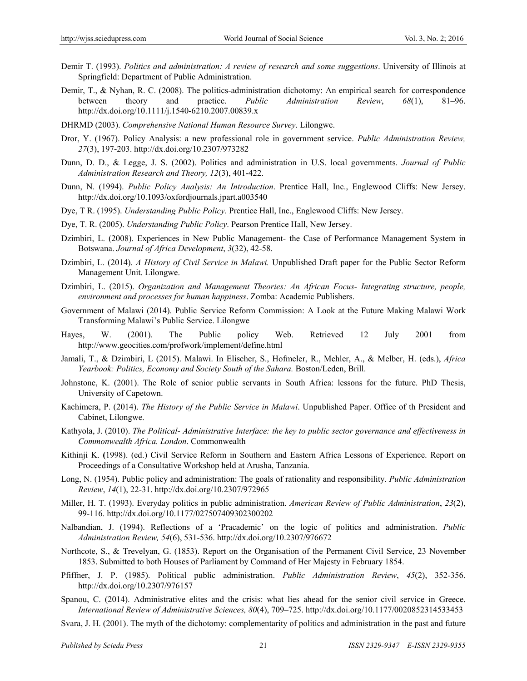- Demir T. (1993). *Politics and administration: A review of research and some suggestions*. University of Illinois at Springfield: Department of Public Administration.
- Demir, T., & Nyhan, R. C. (2008). The politics-administration dichotomy: An empirical search for correspondence between theory and practice. *Public Administration Review*, *68*(1), 81–96. http://dx.doi.org/10.1111/j.1540-6210.2007.00839.x
- DHRMD (2003). *Comprehensive National Human Resource Survey*. Lilongwe.
- Dror, Y. (1967). Policy Analysis: a new professional role in government service. *Public Administration Review, 27*(3), 197-203. http://dx.doi.org/10.2307/973282
- Dunn, D. D., & Legge, J. S. (2002). Politics and administration in U.S. local governments. *Journal of Public Administration Research and Theory, 12*(3), 401-422.
- Dunn, N. (1994). *Public Policy Analysis: An Introduction*. Prentice Hall, Inc., Englewood Cliffs: New Jersey. http://dx.doi.org/10.1093/oxfordjournals.jpart.a003540
- Dye, T R. (1995). *Understanding Public Policy.* Prentice Hall, Inc., Englewood Cliffs: New Jersey.
- Dye, T. R. (2005). *Understanding Public Policy*. Pearson Prentice Hall, New Jersey.
- Dzimbiri, L. (2008). Experiences in New Public Management- the Case of Performance Management System in Botswana. *Journal of Africa Development*, *3*(32), 42-58.
- Dzimbiri, L. (2014). *A History of Civil Service in Malawi.* Unpublished Draft paper for the Public Sector Reform Management Unit. Lilongwe.
- Dzimbiri, L. (2015). *Organization and Management Theories: An African Focus- Integrating structure, people, environment and processes for human happiness*. Zomba: Academic Publishers.
- Government of Malawi (2014). Public Service Reform Commission: A Look at the Future Making Malawi Work Transforming Malawi's Public Service. Lilongwe
- Hayes, W. (2001). The Public policy Web. Retrieved 12 July 2001 from http://www.geocities.com/profwork/implement/define.html
- Jamali, T., & Dzimbiri, L (2015). Malawi. In Elischer, S., Hofmeler, R., Mehler, A., & Melber, H. (eds.), *Africa Yearbook: Politics, Economy and Society South of the Sahara.* Boston/Leden, Brill.
- Johnstone, K. (2001). The Role of senior public servants in South Africa: lessons for the future. PhD Thesis, University of Capetown.
- Kachimera, P. (2014). *The History of the Public Service in Malawi*. Unpublished Paper. Office of th President and Cabinet, Lilongwe.
- Kathyola, J. (2010). *The Political- Administrative Interface: the key to public sector governance and effectiveness in Commonwealth Africa. London*. Commonwealth
- Kithinji K. **(**1998). (ed.) Civil Service Reform in Southern and Eastern Africa Lessons of Experience. Report on Proceedings of a Consultative Workshop held at Arusha, Tanzania.
- Long, N. (1954). Public policy and administration: The goals of rationality and responsibility. *Public Administration Review*, *14*(1), 22-31. http://dx.doi.org/10.2307/972965
- Miller, H. T. (1993). Everyday politics in public administration. *American Review of Public Administration*, *23*(2), 99-116. http://dx.doi.org/10.1177/027507409302300202
- Nalbandian, J. (1994). Reflections of a 'Pracademic' on the logic of politics and administration. *Public Administration Review, 54*(6), 531-536. http://dx.doi.org/10.2307/976672
- Northcote, S., & Trevelyan, G. (1853). Report on the Organisation of the Permanent Civil Service, 23 November 1853. Submitted to both Houses of Parliament by Command of Her Majesty in February 1854.
- Pfiffner, J. P. (1985). Political public administration. *Public Administration Review*, *45*(2), 352-356. http://dx.doi.org/10.2307/976157
- Spanou, C. (2014). Administrative elites and the crisis: what lies ahead for the senior civil service in Greece. *International Review of Administrative Sciences, 80*(4), 709–725. http://dx.doi.org/10.1177/0020852314533453
- Svara, J. H. (2001). The myth of the dichotomy: complementarity of politics and administration in the past and future